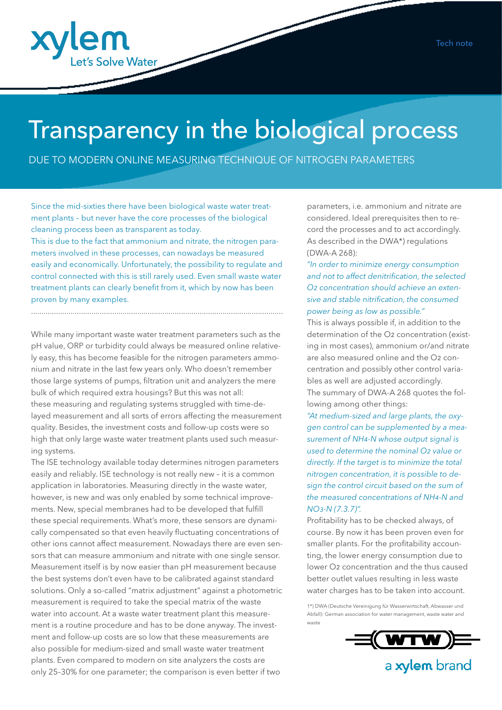

# Transparency in the biological process

DUE TO MODERN ONLINE MEASURING TECHNIQUE OF NITROGEN PARAMETERS

Since the mid-sixties there have been biological waste water treatment plants – but never have the core processes of the biological cleaning process been as transparent as today. This is due to the fact that ammonium and nitrate, the nitrogen parameters involved in these processes, can nowadays be measured easily and economically. Unfortunately, the possibility to regulate and control connected with this is still rarely used. Even small waste water

treatment plants can clearly benefit from it, which by now has been proven by many examples. .........................................................................................................................

While many important waste water treatment parameters such as the pH value, ORP or turbidity could always be measured online relatively easy, this has become feasible for the nitrogen parameters ammonium and nitrate in the last few years only. Who doesn't remember those large systems of pumps, filtration unit and analyzers the mere bulk of which required extra housings? But this was not all: these measuring and regulating systems struggled with time-delayed measurement and all sorts of errors affecting the measurement quality. Besides, the investment costs and follow-up costs were so high that only large waste water treatment plants used such measuring systems.

The ISE technology available today determines nitrogen parameters easily and reliably. ISE technology is not really new – it is a common application in laboratories. Measuring directly in the waste water, however, is new and was only enabled by some technical improvements. New, special membranes had to be developed that fulfill these special requirements. What's more, these sensors are dynamically compensated so that even heavily fluctuating concentrations of other ions cannot affect measurement. Nowadays there are even sensors that can measure ammonium and nitrate with one single sensor. Measurement itself is by now easier than pH measurement because the best systems don't even have to be calibrated against standard solutions. Only a so-called "matrix adjustment" against a photometric measurement is required to take the special matrix of the waste water into account. At a waste water treatment plant this measurement is a routine procedure and has to be done anyway. The investment and follow-up costs are so low that these measurements are also possible for medium-sized and small waste water treatment plants. Even compared to modern on site analyzers the costs are only 25–30% for one parameter; the comparison is even better if two

parameters, i.e. ammonium and nitrate are considered. Ideal prerequisites then to record the processes and to act accordingly. As described in the DWA\*) regulations (DWA-A 268):

*"In order to minimize energy consumption and not to affect denitrification, the selected O2 concentration should achieve an extensive and stable nitrification, the consumed power being as low as possible."*

This is always possible if, in addition to the determination of the O2 concentration (existing in most cases), ammonium or/and nitrate are also measured online and the O2 concentration and possibly other control variables as well are adjusted accordingly. The summary of DWA-A 268 quotes the following among other things:

*"At medium-sized and large plants, the oxygen control can be supplemented by a measurement of NH4-N whose output signal is used to determine the nominal O2 value or directly. If the target is to minimize the total nitrogen concentration, it is possible to design the control circuit based on the sum of the measured concentrations of NH4-N and NO3-N (7.3.7)".*

Profitability has to be checked always, of course. By now it has been proven even for smaller plants. For the profitability accounting, the lower energy consumption due to lower O2 concentration and the thus caused better outlet values resulting in less waste water charges has to be taken into account.

1\*) DWA (Deutsche Vereinigung für Wasserwirtschaft, Abwasser und Abfall): German association for water management, waste water and waste



a xylem brand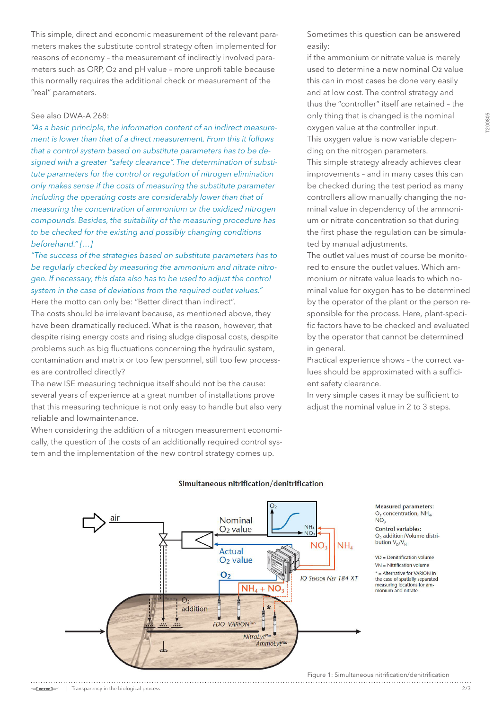**[200805** T200805

This simple, direct and economic measurement of the relevant parameters makes the substitute control strategy often implemented for reasons of economy – the measurement of indirectly involved parameters such as ORP, O2 and pH value – more unprofi table because this normally requires the additional check or measurement of the "real" parameters.

## See also DWA-A 268:

*"As a basic principle, the information content of an indirect measurement is lower than that of a direct measurement. From this it follows that a control system based on substitute parameters has to be designed with a greater "safety clearance". The determination of substitute parameters for the control or regulation of nitrogen elimination only makes sense if the costs of measuring the substitute parameter including the operating costs are considerably lower than that of measuring the concentration of ammonium or the oxidized nitrogen compounds. Besides, the suitability of the measuring procedure has to be checked for the existing and possibly changing conditions beforehand." […]*

*"The success of the strategies based on substitute parameters has to be regularly checked by measuring the ammonium and nitrate nitrogen. If necessary, this data also has to be used to adjust the control system in the case of deviations from the required outlet values."* Here the motto can only be: "Better direct than indirect".

The costs should be irrelevant because, as mentioned above, they have been dramatically reduced. What is the reason, however, that despite rising energy costs and rising sludge disposal costs, despite problems such as big fluctuations concerning the hydraulic system, contamination and matrix or too few personnel, still too few processes are controlled directly?

The new ISE measuring technique itself should not be the cause: several years of experience at a great number of installations prove that this measuring technique is not only easy to handle but also very reliable and lowmaintenance.

When considering the addition of a nitrogen measurement economically, the question of the costs of an additionally required control system and the implementation of the new control strategy comes up.

Sometimes this question can be answered easily:

if the ammonium or nitrate value is merely used to determine a new nominal O2 value this can in most cases be done very easily and at low cost. The control strategy and thus the "controller" itself are retained – the only thing that is changed is the nominal oxygen value at the controller input. This oxygen value is now variable depending on the nitrogen parameters. This simple strategy already achieves clear improvements – and in many cases this can be checked during the test period as many controllers allow manually changing the nominal value in dependency of the ammonium or nitrate concentration so that during the first phase the regulation can be simulated by manual adjustments.

The outlet values must of course be monitored to ensure the outlet values. Which ammonium or nitrate value leads to which nominal value for oxygen has to be determined by the operator of the plant or the person responsible for the process. Here, plant-specific factors have to be checked and evaluated by the operator that cannot be determined in general.

Practical experience shows – the correct values should be approximated with a sufficient safety clearance.

In very simple cases it may be sufficient to adjust the nominal value in 2 to 3 steps.



#### Simultaneous nitrification/denitrification

**Measured parameters:**  $O<sub>2</sub>$  concentration, NH<sub>4</sub>, NO. Control variables: O<sub>2</sub> addition/Volume distribution  $V_p/V_p$ 

 $VD = Denitrification volume$  $VN = Nitrification volume$ 

 $*$  = Alternative for VARiON in the case of spatially separated<br>measuring locations for ammonium and nitrate